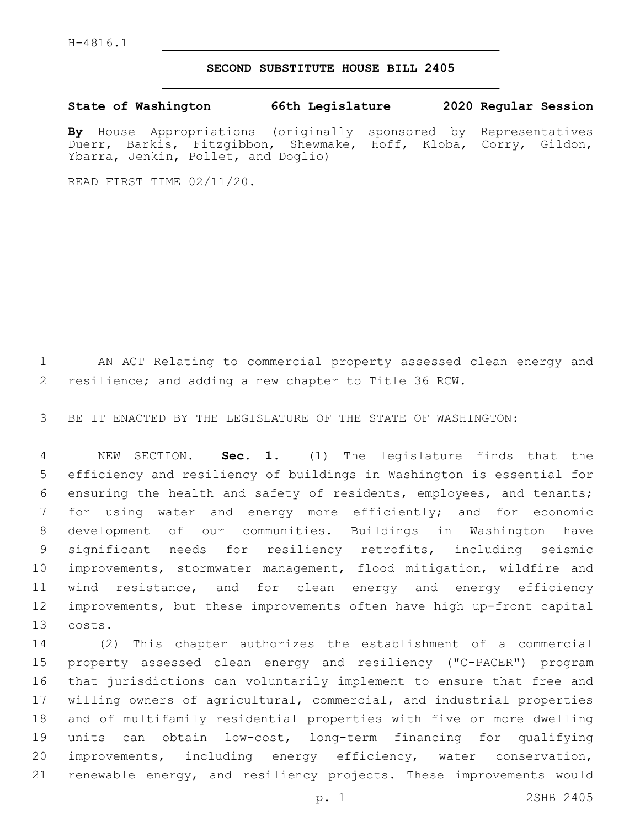## **SECOND SUBSTITUTE HOUSE BILL 2405**

**State of Washington 66th Legislature 2020 Regular Session**

**By** House Appropriations (originally sponsored by Representatives Duerr, Barkis, Fitzgibbon, Shewmake, Hoff, Kloba, Corry, Gildon, Ybarra, Jenkin, Pollet, and Doglio)

READ FIRST TIME 02/11/20.

 AN ACT Relating to commercial property assessed clean energy and resilience; and adding a new chapter to Title 36 RCW.

BE IT ENACTED BY THE LEGISLATURE OF THE STATE OF WASHINGTON:

 NEW SECTION. **Sec. 1.** (1) The legislature finds that the efficiency and resiliency of buildings in Washington is essential for ensuring the health and safety of residents, employees, and tenants; for using water and energy more efficiently; and for economic development of our communities. Buildings in Washington have significant needs for resiliency retrofits, including seismic improvements, stormwater management, flood mitigation, wildfire and wind resistance, and for clean energy and energy efficiency improvements, but these improvements often have high up-front capital costs.

 (2) This chapter authorizes the establishment of a commercial property assessed clean energy and resiliency ("C-PACER") program that jurisdictions can voluntarily implement to ensure that free and willing owners of agricultural, commercial, and industrial properties and of multifamily residential properties with five or more dwelling units can obtain low-cost, long-term financing for qualifying improvements, including energy efficiency, water conservation, renewable energy, and resiliency projects. These improvements would

p. 1 2SHB 2405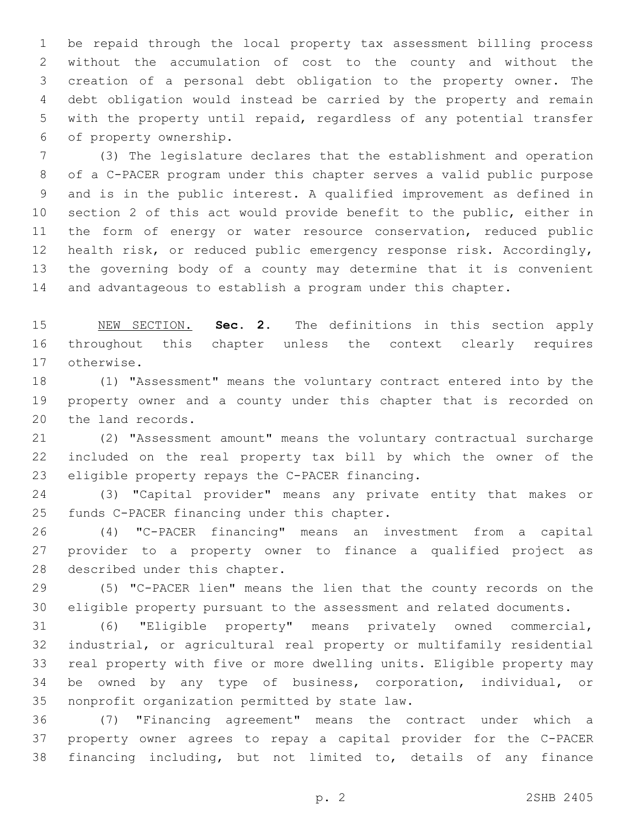be repaid through the local property tax assessment billing process without the accumulation of cost to the county and without the creation of a personal debt obligation to the property owner. The debt obligation would instead be carried by the property and remain with the property until repaid, regardless of any potential transfer 6 of property ownership.

 (3) The legislature declares that the establishment and operation of a C-PACER program under this chapter serves a valid public purpose and is in the public interest. A qualified improvement as defined in section 2 of this act would provide benefit to the public, either in 11 the form of energy or water resource conservation, reduced public health risk, or reduced public emergency response risk. Accordingly, the governing body of a county may determine that it is convenient and advantageous to establish a program under this chapter.

 NEW SECTION. **Sec. 2.** The definitions in this section apply throughout this chapter unless the context clearly requires otherwise.

 (1) "Assessment" means the voluntary contract entered into by the property owner and a county under this chapter that is recorded on 20 the land records.

 (2) "Assessment amount" means the voluntary contractual surcharge included on the real property tax bill by which the owner of the 23 eligible property repays the C-PACER financing.

 (3) "Capital provider" means any private entity that makes or 25 funds C-PACER financing under this chapter.

 (4) "C-PACER financing" means an investment from a capital provider to a property owner to finance a qualified project as 28 described under this chapter.

 (5) "C-PACER lien" means the lien that the county records on the eligible property pursuant to the assessment and related documents.

 (6) "Eligible property" means privately owned commercial, industrial, or agricultural real property or multifamily residential real property with five or more dwelling units. Eligible property may be owned by any type of business, corporation, individual, or 35 nonprofit organization permitted by state law.

 (7) "Financing agreement" means the contract under which a property owner agrees to repay a capital provider for the C-PACER financing including, but not limited to, details of any finance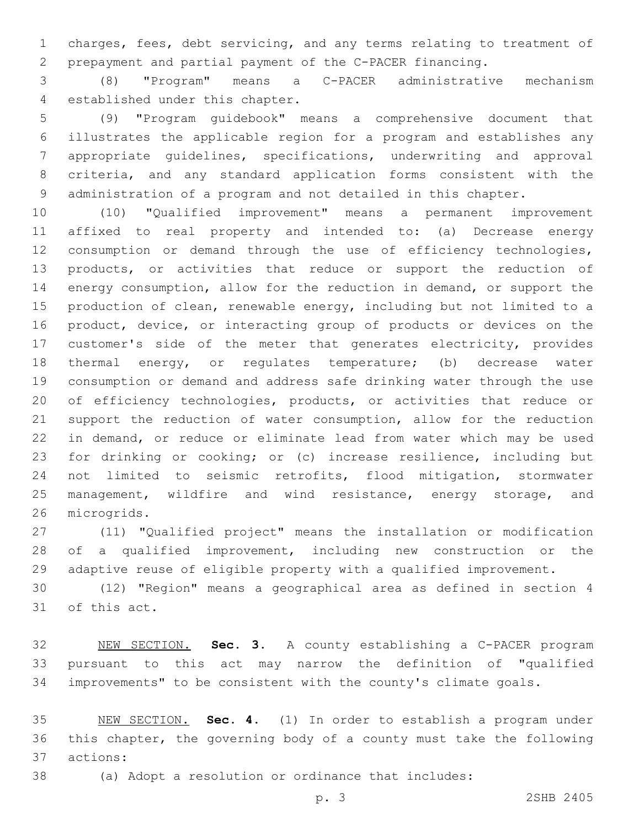charges, fees, debt servicing, and any terms relating to treatment of prepayment and partial payment of the C-PACER financing.

 (8) "Program" means a C-PACER administrative mechanism 4 established under this chapter.

 (9) "Program guidebook" means a comprehensive document that illustrates the applicable region for a program and establishes any appropriate guidelines, specifications, underwriting and approval criteria, and any standard application forms consistent with the administration of a program and not detailed in this chapter.

 (10) "Qualified improvement" means a permanent improvement affixed to real property and intended to: (a) Decrease energy consumption or demand through the use of efficiency technologies, products, or activities that reduce or support the reduction of energy consumption, allow for the reduction in demand, or support the production of clean, renewable energy, including but not limited to a product, device, or interacting group of products or devices on the customer's side of the meter that generates electricity, provides thermal energy, or regulates temperature; (b) decrease water consumption or demand and address safe drinking water through the use 20 of efficiency technologies, products, or activities that reduce or support the reduction of water consumption, allow for the reduction in demand, or reduce or eliminate lead from water which may be used for drinking or cooking; or (c) increase resilience, including but not limited to seismic retrofits, flood mitigation, stormwater 25 management, wildfire and wind resistance, energy storage, and 26 microgrids.

 (11) "Qualified project" means the installation or modification of a qualified improvement, including new construction or the adaptive reuse of eligible property with a qualified improvement.

 (12) "Region" means a geographical area as defined in section 4 31 of this act.

 NEW SECTION. **Sec. 3.** A county establishing a C-PACER program pursuant to this act may narrow the definition of "qualified improvements" to be consistent with the county's climate goals.

 NEW SECTION. **Sec. 4.** (1) In order to establish a program under this chapter, the governing body of a county must take the following actions:

(a) Adopt a resolution or ordinance that includes:

p. 3 2SHB 2405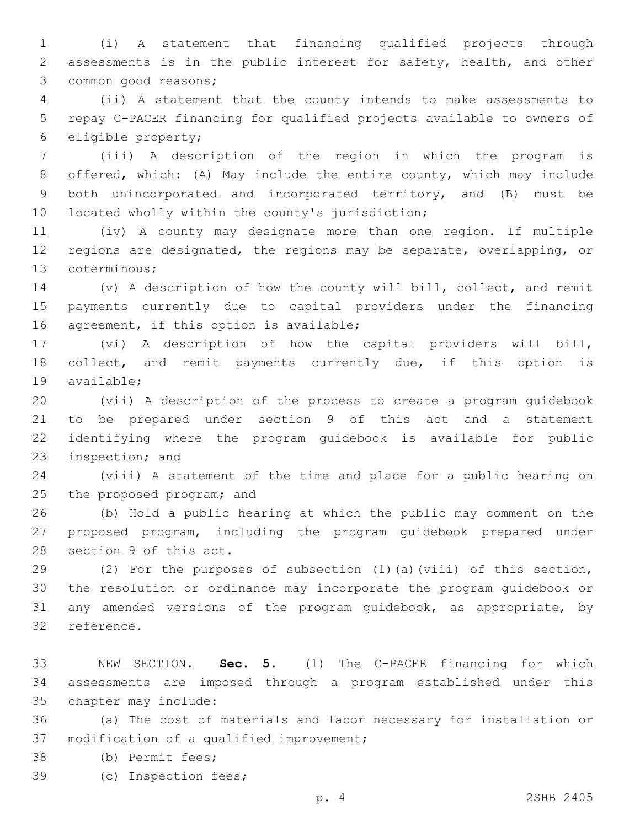(i) A statement that financing qualified projects through assessments is in the public interest for safety, health, and other 3 common good reasons;

 (ii) A statement that the county intends to make assessments to repay C-PACER financing for qualified projects available to owners of 6 eligible property;

 (iii) A description of the region in which the program is offered, which: (A) May include the entire county, which may include both unincorporated and incorporated territory, and (B) must be 10 located wholly within the county's jurisdiction;

 (iv) A county may designate more than one region. If multiple regions are designated, the regions may be separate, overlapping, or 13 coterminous;

 (v) A description of how the county will bill, collect, and remit payments currently due to capital providers under the financing 16 agreement, if this option is available;

 (vi) A description of how the capital providers will bill, 18 collect, and remit payments currently due, if this option is 19 available;

 (vii) A description of the process to create a program guidebook to be prepared under section 9 of this act and a statement identifying where the program guidebook is available for public 23 inspection; and

 (viii) A statement of the time and place for a public hearing on 25 the proposed program; and

 (b) Hold a public hearing at which the public may comment on the proposed program, including the program guidebook prepared under 28 section 9 of this act.

 (2) For the purposes of subsection (1)(a)(viii) of this section, the resolution or ordinance may incorporate the program guidebook or any amended versions of the program guidebook, as appropriate, by 32 reference.

 NEW SECTION. **Sec. 5.** (1) The C-PACER financing for which assessments are imposed through a program established under this chapter may include:

 (a) The cost of materials and labor necessary for installation or 37 modification of a qualified improvement;

38 (b) Permit fees;

39 (c) Inspection fees;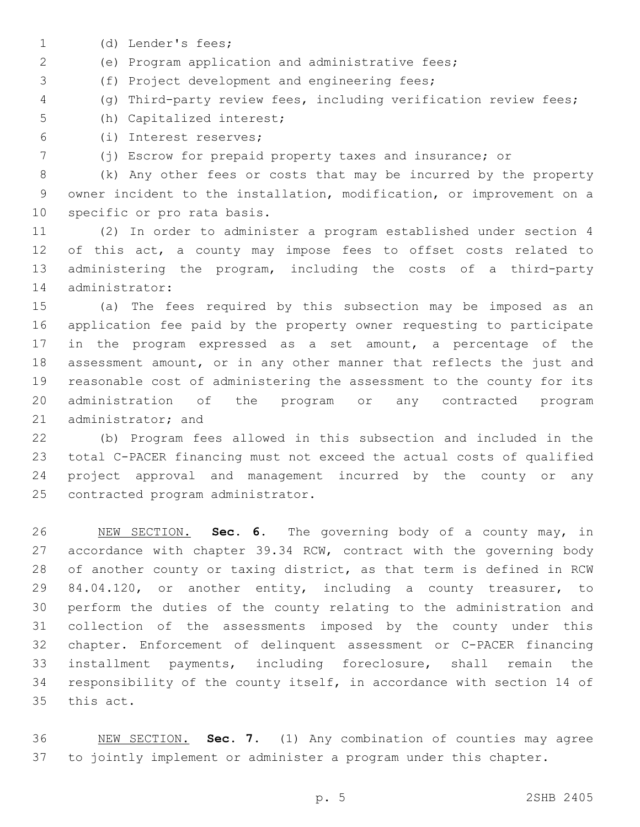- 1 (d) Lender's fees;
- (e) Program application and administrative fees;

3 (f) Project development and engineering fees;

(g) Third-party review fees, including verification review fees;

5 (h) Capitalized interest;

(i) Interest reserves;6

(j) Escrow for prepaid property taxes and insurance; or

 (k) Any other fees or costs that may be incurred by the property owner incident to the installation, modification, or improvement on a 10 specific or pro rata basis.

 (2) In order to administer a program established under section 4 of this act, a county may impose fees to offset costs related to administering the program, including the costs of a third-party 14 administrator:

 (a) The fees required by this subsection may be imposed as an application fee paid by the property owner requesting to participate in the program expressed as a set amount, a percentage of the 18 assessment amount, or in any other manner that reflects the just and reasonable cost of administering the assessment to the county for its administration of the program or any contracted program 21 administrator; and

 (b) Program fees allowed in this subsection and included in the total C-PACER financing must not exceed the actual costs of qualified project approval and management incurred by the county or any 25 contracted program administrator.

 NEW SECTION. **Sec. 6.** The governing body of a county may, in accordance with chapter 39.34 RCW, contract with the governing body of another county or taxing district, as that term is defined in RCW 29 84.04.120, or another entity, including a county treasurer, to perform the duties of the county relating to the administration and collection of the assessments imposed by the county under this chapter. Enforcement of delinquent assessment or C-PACER financing installment payments, including foreclosure, shall remain the responsibility of the county itself, in accordance with section 14 of this act.

 NEW SECTION. **Sec. 7.** (1) Any combination of counties may agree to jointly implement or administer a program under this chapter.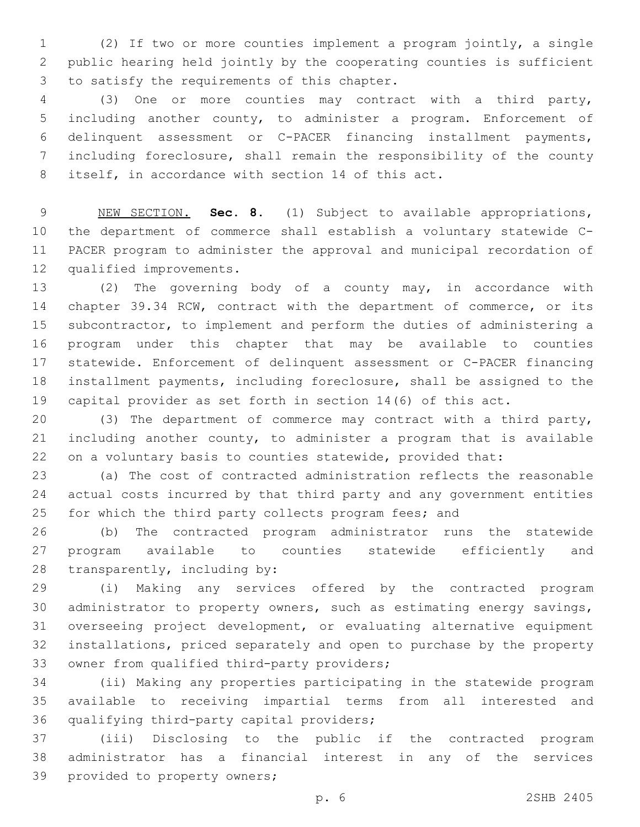(2) If two or more counties implement a program jointly, a single public hearing held jointly by the cooperating counties is sufficient 3 to satisfy the requirements of this chapter.

 (3) One or more counties may contract with a third party, including another county, to administer a program. Enforcement of delinquent assessment or C-PACER financing installment payments, including foreclosure, shall remain the responsibility of the county 8 itself, in accordance with section 14 of this act.

 NEW SECTION. **Sec. 8.** (1) Subject to available appropriations, the department of commerce shall establish a voluntary statewide C- PACER program to administer the approval and municipal recordation of qualified improvements.

 (2) The governing body of a county may, in accordance with chapter 39.34 RCW, contract with the department of commerce, or its subcontractor, to implement and perform the duties of administering a program under this chapter that may be available to counties statewide. Enforcement of delinquent assessment or C-PACER financing installment payments, including foreclosure, shall be assigned to the capital provider as set forth in section 14(6) of this act.

 (3) The department of commerce may contract with a third party, including another county, to administer a program that is available on a voluntary basis to counties statewide, provided that:

 (a) The cost of contracted administration reflects the reasonable actual costs incurred by that third party and any government entities 25 for which the third party collects program fees; and

 (b) The contracted program administrator runs the statewide program available to counties statewide efficiently and 28  $transparently, including by:$ 

 (i) Making any services offered by the contracted program administrator to property owners, such as estimating energy savings, overseeing project development, or evaluating alternative equipment installations, priced separately and open to purchase by the property 33 owner from qualified third-party providers;

 (ii) Making any properties participating in the statewide program available to receiving impartial terms from all interested and 36 qualifying third-party capital providers;

 (iii) Disclosing to the public if the contracted program administrator has a financial interest in any of the services 39 provided to property owners;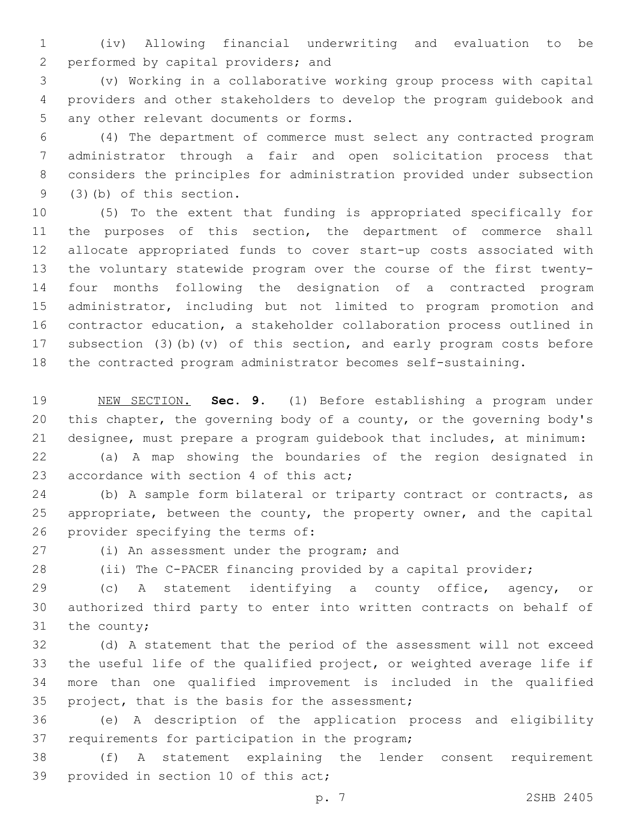(iv) Allowing financial underwriting and evaluation to be 2 performed by capital providers; and

 (v) Working in a collaborative working group process with capital providers and other stakeholders to develop the program guidebook and 5 any other relevant documents or forms.

 (4) The department of commerce must select any contracted program administrator through a fair and open solicitation process that considers the principles for administration provided under subsection  $(3)(b)$  of this section.

 (5) To the extent that funding is appropriated specifically for the purposes of this section, the department of commerce shall allocate appropriated funds to cover start-up costs associated with the voluntary statewide program over the course of the first twenty- four months following the designation of a contracted program administrator, including but not limited to program promotion and contractor education, a stakeholder collaboration process outlined in subsection (3)(b)(v) of this section, and early program costs before the contracted program administrator becomes self-sustaining.

 NEW SECTION. **Sec. 9.** (1) Before establishing a program under this chapter, the governing body of a county, or the governing body's designee, must prepare a program guidebook that includes, at minimum:

 (a) A map showing the boundaries of the region designated in 23 accordance with section 4 of this act;

24 (b) A sample form bilateral or triparty contract or contracts, as 25 appropriate, between the county, the property owner, and the capital 26 provider specifying the terms of:

27 (i) An assessment under the program; and

(ii) The C-PACER financing provided by a capital provider;

 (c) A statement identifying a county office, agency, or authorized third party to enter into written contracts on behalf of the county;

 (d) A statement that the period of the assessment will not exceed the useful life of the qualified project, or weighted average life if more than one qualified improvement is included in the qualified 35 project, that is the basis for the assessment;

 (e) A description of the application process and eligibility 37 requirements for participation in the program;

 (f) A statement explaining the lender consent requirement 39 provided in section 10 of this act;

p. 7 2SHB 2405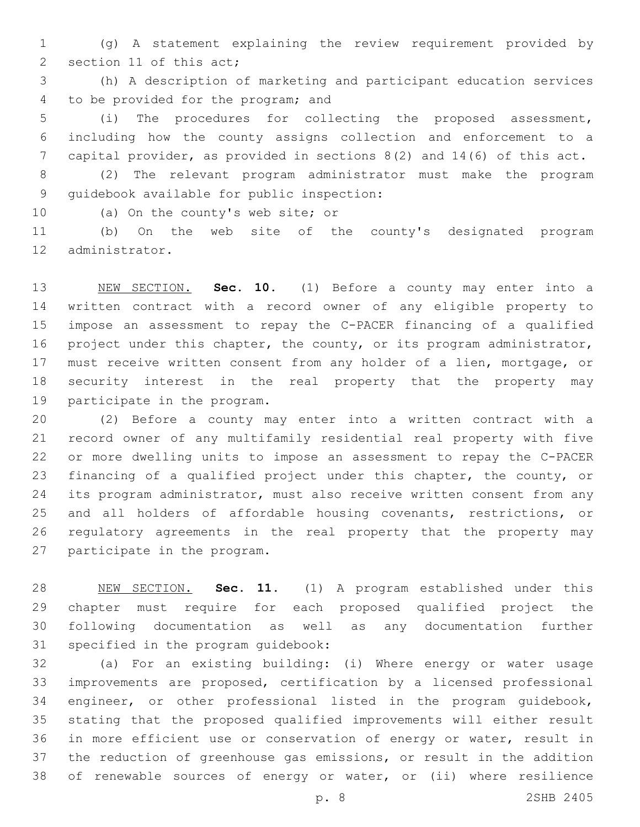(g) A statement explaining the review requirement provided by 2 section 11 of this act;

 (h) A description of marketing and participant education services 4 to be provided for the program; and

 (i) The procedures for collecting the proposed assessment, including how the county assigns collection and enforcement to a capital provider, as provided in sections 8(2) and 14(6) of this act.

 (2) The relevant program administrator must make the program 9 quidebook available for public inspection:

10 (a) On the county's web site; or

 (b) On the web site of the county's designated program 12 administrator.

 NEW SECTION. **Sec. 10.** (1) Before a county may enter into a written contract with a record owner of any eligible property to impose an assessment to repay the C-PACER financing of a qualified project under this chapter, the county, or its program administrator, 17 must receive written consent from any holder of a lien, mortgage, or security interest in the real property that the property may participate in the program.

 (2) Before a county may enter into a written contract with a record owner of any multifamily residential real property with five or more dwelling units to impose an assessment to repay the C-PACER financing of a qualified project under this chapter, the county, or 24 its program administrator, must also receive written consent from any and all holders of affordable housing covenants, restrictions, or regulatory agreements in the real property that the property may 27 participate in the program.

 NEW SECTION. **Sec. 11.** (1) A program established under this chapter must require for each proposed qualified project the following documentation as well as any documentation further specified in the program guidebook:

 (a) For an existing building: (i) Where energy or water usage improvements are proposed, certification by a licensed professional engineer, or other professional listed in the program guidebook, stating that the proposed qualified improvements will either result in more efficient use or conservation of energy or water, result in the reduction of greenhouse gas emissions, or result in the addition of renewable sources of energy or water, or (ii) where resilience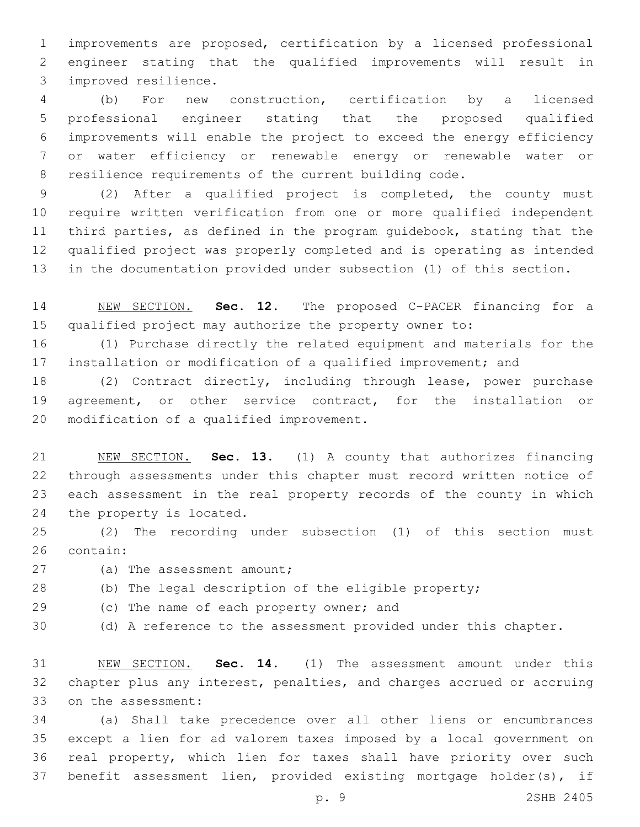improvements are proposed, certification by a licensed professional engineer stating that the qualified improvements will result in improved resilience.3

 (b) For new construction, certification by a licensed professional engineer stating that the proposed qualified improvements will enable the project to exceed the energy efficiency or water efficiency or renewable energy or renewable water or resilience requirements of the current building code.

 (2) After a qualified project is completed, the county must require written verification from one or more qualified independent third parties, as defined in the program guidebook, stating that the qualified project was properly completed and is operating as intended in the documentation provided under subsection (1) of this section.

 NEW SECTION. **Sec. 12.** The proposed C-PACER financing for a qualified project may authorize the property owner to:

 (1) Purchase directly the related equipment and materials for the installation or modification of a qualified improvement; and

 (2) Contract directly, including through lease, power purchase agreement, or other service contract, for the installation or 20 modification of a qualified improvement.

 NEW SECTION. **Sec. 13.** (1) A county that authorizes financing through assessments under this chapter must record written notice of each assessment in the real property records of the county in which the property is located.

 (2) The recording under subsection (1) of this section must 26 contain:

- 27 (a) The assessment amount;
- (b) The legal description of the eligible property;
- 29 (c) The name of each property owner; and
- (d) A reference to the assessment provided under this chapter.

 NEW SECTION. **Sec. 14.** (1) The assessment amount under this chapter plus any interest, penalties, and charges accrued or accruing on the assessment:

 (a) Shall take precedence over all other liens or encumbrances except a lien for ad valorem taxes imposed by a local government on real property, which lien for taxes shall have priority over such benefit assessment lien, provided existing mortgage holder(s), if

p. 9 2SHB 2405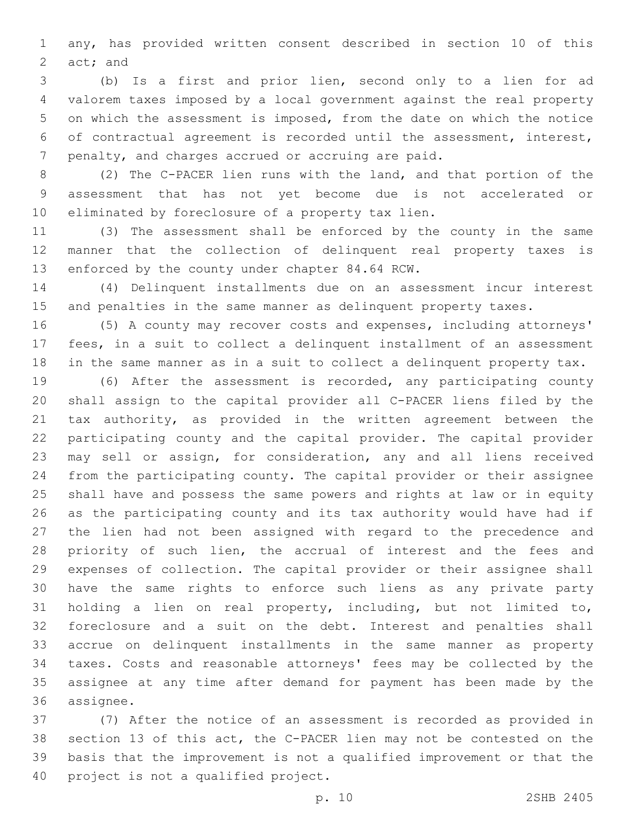any, has provided written consent described in section 10 of this  $act;$  and

 (b) Is a first and prior lien, second only to a lien for ad valorem taxes imposed by a local government against the real property on which the assessment is imposed, from the date on which the notice of contractual agreement is recorded until the assessment, interest, 7 penalty, and charges accrued or accruing are paid.

 (2) The C-PACER lien runs with the land, and that portion of the assessment that has not yet become due is not accelerated or 10 eliminated by foreclosure of a property tax lien.

 (3) The assessment shall be enforced by the county in the same manner that the collection of delinquent real property taxes is 13 enforced by the county under chapter 84.64 RCW.

 (4) Delinquent installments due on an assessment incur interest and penalties in the same manner as delinquent property taxes.

 (5) A county may recover costs and expenses, including attorneys' fees, in a suit to collect a delinquent installment of an assessment in the same manner as in a suit to collect a delinquent property tax.

 (6) After the assessment is recorded, any participating county shall assign to the capital provider all C-PACER liens filed by the tax authority, as provided in the written agreement between the participating county and the capital provider. The capital provider may sell or assign, for consideration, any and all liens received from the participating county. The capital provider or their assignee shall have and possess the same powers and rights at law or in equity as the participating county and its tax authority would have had if the lien had not been assigned with regard to the precedence and priority of such lien, the accrual of interest and the fees and expenses of collection. The capital provider or their assignee shall have the same rights to enforce such liens as any private party holding a lien on real property, including, but not limited to, foreclosure and a suit on the debt. Interest and penalties shall accrue on delinquent installments in the same manner as property taxes. Costs and reasonable attorneys' fees may be collected by the assignee at any time after demand for payment has been made by the 36 assignee.

 (7) After the notice of an assessment is recorded as provided in section 13 of this act, the C-PACER lien may not be contested on the basis that the improvement is not a qualified improvement or that the 40 project is not a qualified project.